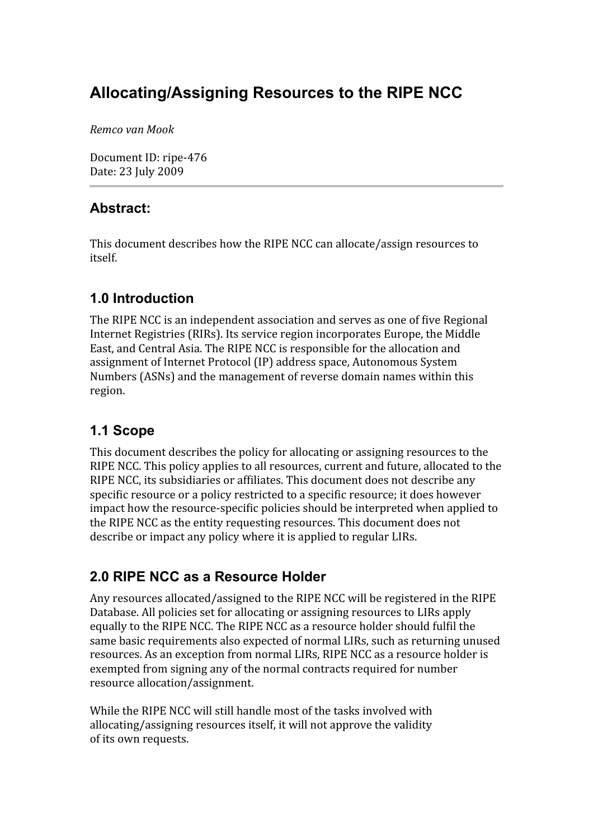# **Allocating/Assigning Resources to the RIPE NCC**

*Remco
van
Mook*

Document
ID:
ripe‐476 Date:
23
July
2009

#### **Abstract:**

This
document
describes
how
the
RIPE
NCC
can
allocate/assign
resources
to itself.

### **1.0 Introduction**

The RIPE NCC is an independent association and serves as one of five Regional Internet Registries (RIRs). Its service region incorporates Europe, the Middle East,
and
Central
Asia.
The
RIPE
NCC
is
responsible
for
the
allocation
and assignment
of
Internet
Protocol
(IP)
address
space,
Autonomous
System Numbers
(ASNs)
and
the
management
of
reverse
domain
names
within
this region.

#### **1.1 Scope**

This
document
describes
the
policy
for
allocating
or
assigning
resources
to
the RIPE NCC. This policy applies to all resources, current and future, allocated to the RIPE NCC, its subsidiaries or affiliates. This document does not describe any specific resource or a policy restricted to a specific resource; it does however impact how the resource-specific policies should be interpreted when applied to the
RIPE
NCC
as
the
entity
requesting
resources.
This
document
does
not describe
or
impact
any
policy
where
it
is
applied
to
regular
LIRs.

## **2.0 RIPE NCC as a Resource Holder**

Any resources allocated/assigned to the RIPE NCC will be registered in the RIPE Database. All policies set for allocating or assigning resources to LIRs apply equally to the RIPE NCC. The RIPE NCC as a resource holder should fulfil the same
basic
requirements
also
expected
of
normal
LIRs,
such
as
returning
unused resources.
As
an
exception
from
normal
LIRs,
RIPE
NCC
as
a
resource
holder
is exempted
from
signing
any
of
the
normal
contracts
required
for
number resource
allocation/assignment.

While the RIPE NCC will still handle most of the tasks involved with allocating/assigning
resources
itself,
it
will
not
approve
the
validity of
its
own
requests.